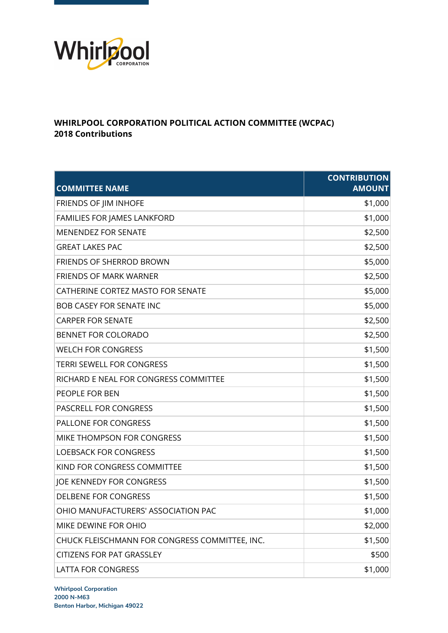

## **WHIRLPOOL CORPORATION POLITICAL ACTION COMMITTEE (WCPAC) 2018 Contributions**

| <b>COMMITTEE NAME</b>                          | <b>CONTRIBUTION</b><br><b>AMOUNT</b> |
|------------------------------------------------|--------------------------------------|
| FRIENDS OF JIM INHOFE                          | \$1,000                              |
| FAMILIES FOR JAMES LANKFORD                    | \$1,000                              |
| <b>MENENDEZ FOR SENATE</b>                     | \$2,500                              |
| <b>GREAT LAKES PAC</b>                         | \$2,500                              |
| <b>FRIENDS OF SHERROD BROWN</b>                | \$5,000                              |
| <b>FRIENDS OF MARK WARNER</b>                  | \$2,500                              |
| CATHERINE CORTEZ MASTO FOR SENATE              | \$5,000                              |
| <b>BOB CASEY FOR SENATE INC</b>                | \$5,000                              |
| <b>CARPER FOR SENATE</b>                       | \$2,500                              |
| BENNET FOR COLORADO                            | \$2,500                              |
| <b>WELCH FOR CONGRESS</b>                      | \$1,500                              |
| <b>TERRI SEWELL FOR CONGRESS</b>               | \$1,500                              |
| RICHARD E NEAL FOR CONGRESS COMMITTEE          | \$1,500                              |
| PEOPLE FOR BEN                                 | \$1,500                              |
| PASCRELL FOR CONGRESS                          | \$1,500                              |
| PALLONE FOR CONGRESS                           | \$1,500                              |
| MIKE THOMPSON FOR CONGRESS                     | \$1,500                              |
| <b>LOEBSACK FOR CONGRESS</b>                   | \$1,500                              |
| KIND FOR CONGRESS COMMITTEE                    | \$1,500                              |
| JOE KENNEDY FOR CONGRESS                       | \$1,500                              |
| <b>DELBENE FOR CONGRESS</b>                    | \$1,500                              |
| OHIO MANUFACTURERS' ASSOCIATION PAC            | \$1,000                              |
| MIKE DEWINE FOR OHIO                           | \$2,000                              |
| CHUCK FLEISCHMANN FOR CONGRESS COMMITTEE, INC. | \$1,500                              |
| <b>CITIZENS FOR PAT GRASSLEY</b>               | \$500                                |
| <b>LATTA FOR CONGRESS</b>                      | \$1,000                              |